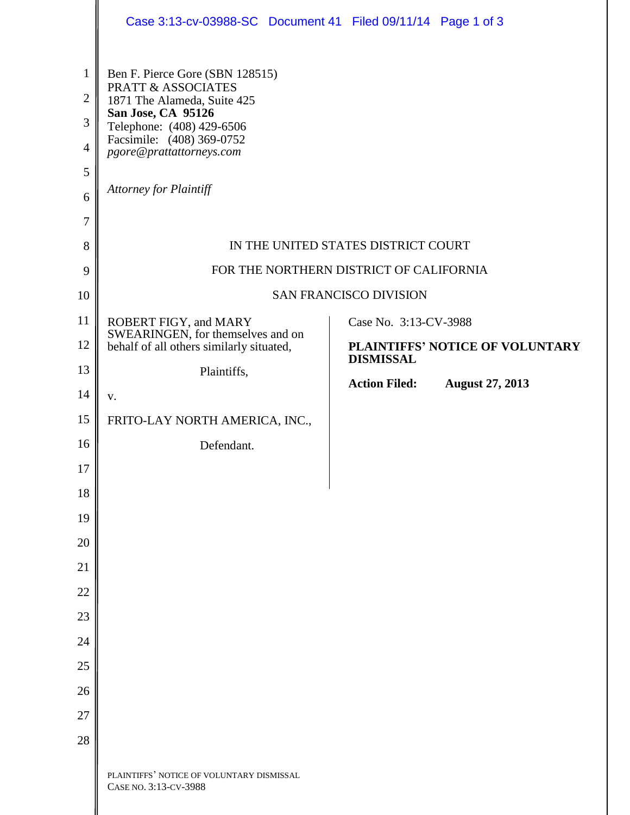|                                                                     | Case 3:13-cv-03988-SC Document 41 Filed 09/11/14 Page 1 of 3                                           |                                                     |
|---------------------------------------------------------------------|--------------------------------------------------------------------------------------------------------|-----------------------------------------------------|
| $\mathbf{1}$                                                        | Ben F. Pierce Gore (SBN 128515)<br>PRATT & ASSOCIATES                                                  |                                                     |
| $\overline{2}$<br>1871 The Alameda, Suite 425<br>San Jose, CA 95126 |                                                                                                        |                                                     |
| 3<br>$\overline{4}$                                                 | Telephone: (408) 429-6506<br>Facsimile: (408) 369-0752<br>pgore@prattattorneys.com                     |                                                     |
| 5                                                                   |                                                                                                        |                                                     |
| 6                                                                   | <b>Attorney for Plaintiff</b>                                                                          |                                                     |
| $\overline{7}$                                                      |                                                                                                        |                                                     |
| 8                                                                   | IN THE UNITED STATES DISTRICT COURT                                                                    |                                                     |
| 9                                                                   | FOR THE NORTHERN DISTRICT OF CALIFORNIA                                                                |                                                     |
| 10                                                                  | <b>SAN FRANCISCO DIVISION</b>                                                                          |                                                     |
| 11                                                                  | ROBERT FIGY, and MARY<br>SWEARINGEN, for themselves and on<br>behalf of all others similarly situated, | Case No. 3:13-CV-3988                               |
| 12                                                                  |                                                                                                        | PLAINTIFFS' NOTICE OF VOLUNTARY<br><b>DISMISSAL</b> |
| 13                                                                  | Plaintiffs,                                                                                            | <b>Action Filed:</b><br><b>August 27, 2013</b>      |
| 14                                                                  | V.                                                                                                     |                                                     |
| 15                                                                  | FRITO-LAY NORTH AMERICA, INC.,                                                                         |                                                     |
| 16                                                                  | Defendant.                                                                                             |                                                     |
| 17                                                                  |                                                                                                        |                                                     |
| 18                                                                  |                                                                                                        |                                                     |
| 19                                                                  |                                                                                                        |                                                     |
| 20                                                                  |                                                                                                        |                                                     |
| 21                                                                  |                                                                                                        |                                                     |
| 22<br>23                                                            |                                                                                                        |                                                     |
| 24                                                                  |                                                                                                        |                                                     |
| 25                                                                  |                                                                                                        |                                                     |
| 26                                                                  |                                                                                                        |                                                     |
| 27                                                                  |                                                                                                        |                                                     |
| 28                                                                  |                                                                                                        |                                                     |
|                                                                     | PLAINTIFFS' NOTICE OF VOLUNTARY DISMISSAL<br>CASE NO. 3:13-CV-3988                                     |                                                     |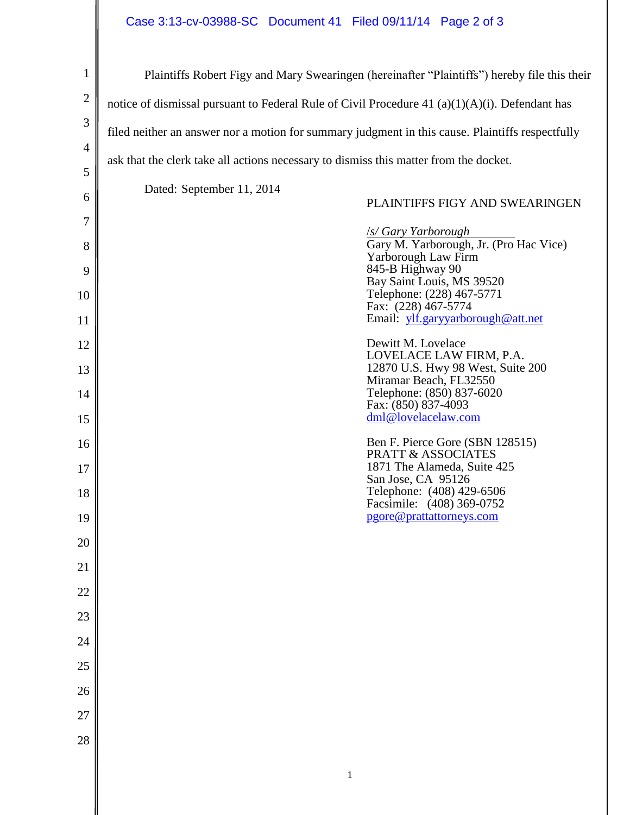## Case 3:13-cv-03988-SC Document 41 Filed 09/11/14 Page 2 of 3

| $\mathbf{1}$   | Plaintiffs Robert Figy and Mary Swearingen (hereinafter "Plaintiffs") hereby file this their      |
|----------------|---------------------------------------------------------------------------------------------------|
| $\overline{2}$ | notice of dismissal pursuant to Federal Rule of Civil Procedure 41 $(a)(1)(A)(i)$ . Defendant has |
| 3              | filed neither an answer nor a motion for summary judgment in this cause. Plaintiffs respectfully  |
| $\overline{4}$ | ask that the clerk take all actions necessary to dismiss this matter from the docket.             |
| 5              | Dated: September 11, 2014                                                                         |
| 6              | PLAINTIFFS FIGY AND SWEARINGEN                                                                    |
| 7              | <b>S/Gary Yarborough</b><br>Gary M. Yarborough, Jr. (Pro Hac Vice)                                |
| 8<br>9         | Yarborough Law Firm<br>845-B Highway 90                                                           |
| 10             | Bay Saint Louis, MS 39520<br>Telephone: (228) 467-5771                                            |
| 11             | Fax: (228) 467-5774<br>Email: ylf.garyyarborough@att.net                                          |
| 12             | Dewitt M. Lovelace                                                                                |
| 13             | LOVELACE LAW FIRM, P.A.<br>12870 U.S. Hwy 98 West, Suite 200                                      |
| 14             | Miramar Beach, FL32550<br>Telephone: (850) 837-6020<br>Fax: (850) 837-4093                        |
| 15             | dml@lovelacelaw.com                                                                               |
| 16             | Ben F. Pierce Gore (SBN 128515)<br><b>PRATT &amp; ASSOCIATES</b>                                  |
| 17             | 1871 The Alameda, Suite 425<br>San Jose, CA 95126                                                 |
| 18             | Telephone: (408) 429-6506<br>Facsimile: (408) 369-0752                                            |
| 19             | pgore@prattattorneys.com                                                                          |
| 20             |                                                                                                   |
| 21             |                                                                                                   |
| 22<br>23       |                                                                                                   |
| 24             |                                                                                                   |
| 25             |                                                                                                   |
| 26             |                                                                                                   |
| 27             |                                                                                                   |
| 28             |                                                                                                   |
|                |                                                                                                   |